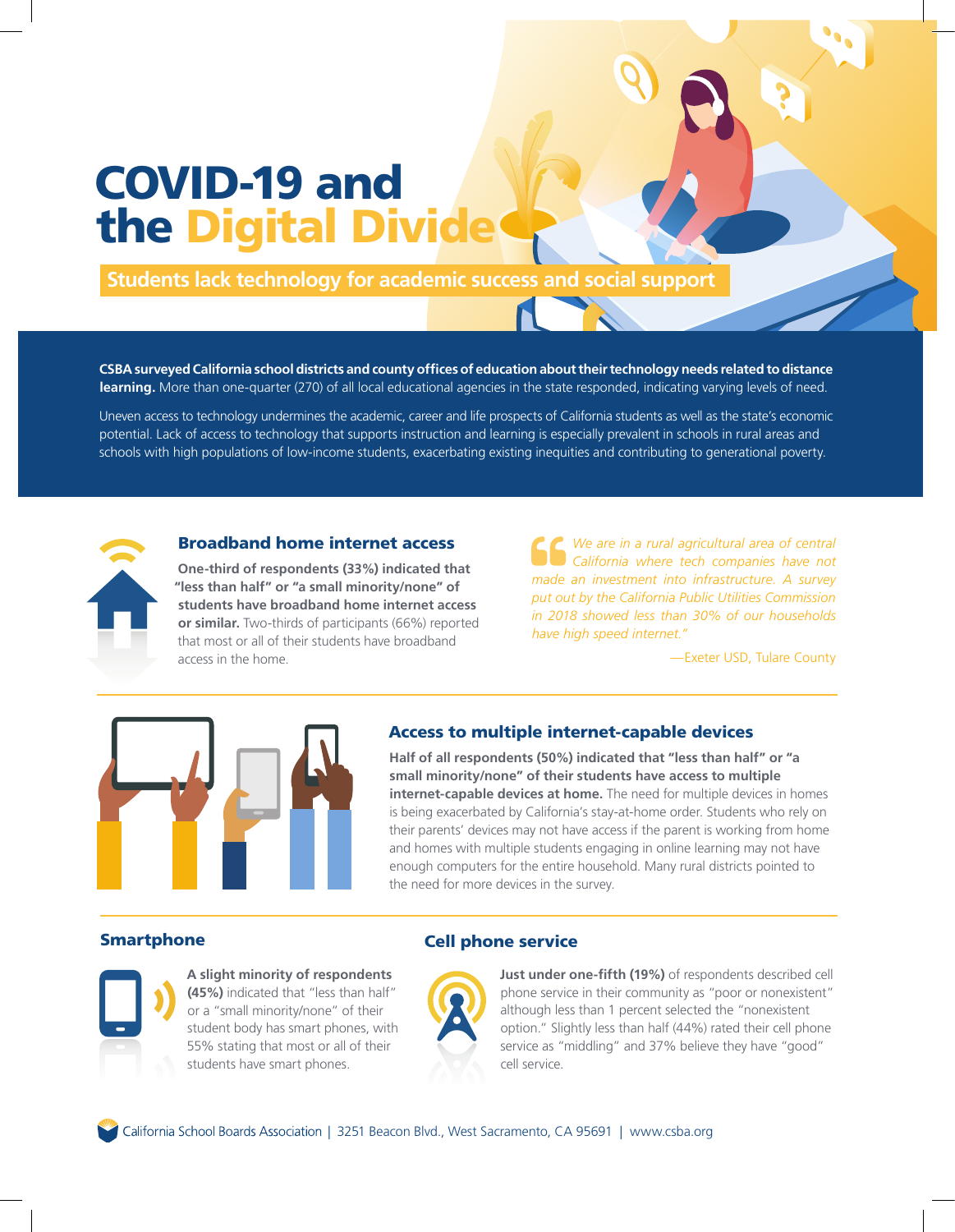# COVID-19 and the Digital Divi

**Students lack technology for academic success and social support**

**CSBA surveyed California school districts and county offices of education about their technology needs related to distance learning.** More than one-quarter (270) of all local educational agencies in the state responded, indicating varying levels of need.

Uneven access to technology undermines the academic, career and life prospects of California students as well as the state's economic potential. Lack of access to technology that supports instruction and learning is especially prevalent in schools in rural areas and schools with high populations of low‐income students, exacerbating existing inequities and contributing to generational poverty.



#### Broadband home internet access

**One‐third of respondents (33%) indicated that "less than half" or "a small minority/none" of students have broadband home internet access or similar.** Two-thirds of participants (66%) reported that most or all of their students have broadband access in the home.

*We are in a rural agricultural area of central California where tech companies have not made an investment into infrastructure. A survey put out by the California Public Utilities Commission in 2018 showed less than 30% of our households have high speed internet."*

—Exeter USD, Tulare County



## Access to multiple internet-capable devices

**Half of all respondents (50%) indicated that "less than half" or "a small minority/none" of their students have access to multiple internet-capable devices at home.** The need for multiple devices in homes is being exacerbated by California's stay-at-home order. Students who rely on their parents' devices may not have access if the parent is working from home and homes with multiple students engaging in online learning may not have enough computers for the entire household. Many rural districts pointed to the need for more devices in the survey.

## Smartphone **Cell phone service**



**A slight minority of respondents (45%)** indicated that "less than half" or a "small minority/none" of their student body has smart phones, with 55% stating that most or all of their students have smart phones.



**Just under one‐fifth (19%)** of respondents described cell phone service in their community as "poor or nonexistent" although less than 1 percent selected the "nonexistent option." Slightly less than half (44%) rated their cell phone service as "middling" and 37% believe they have "good" cell service.